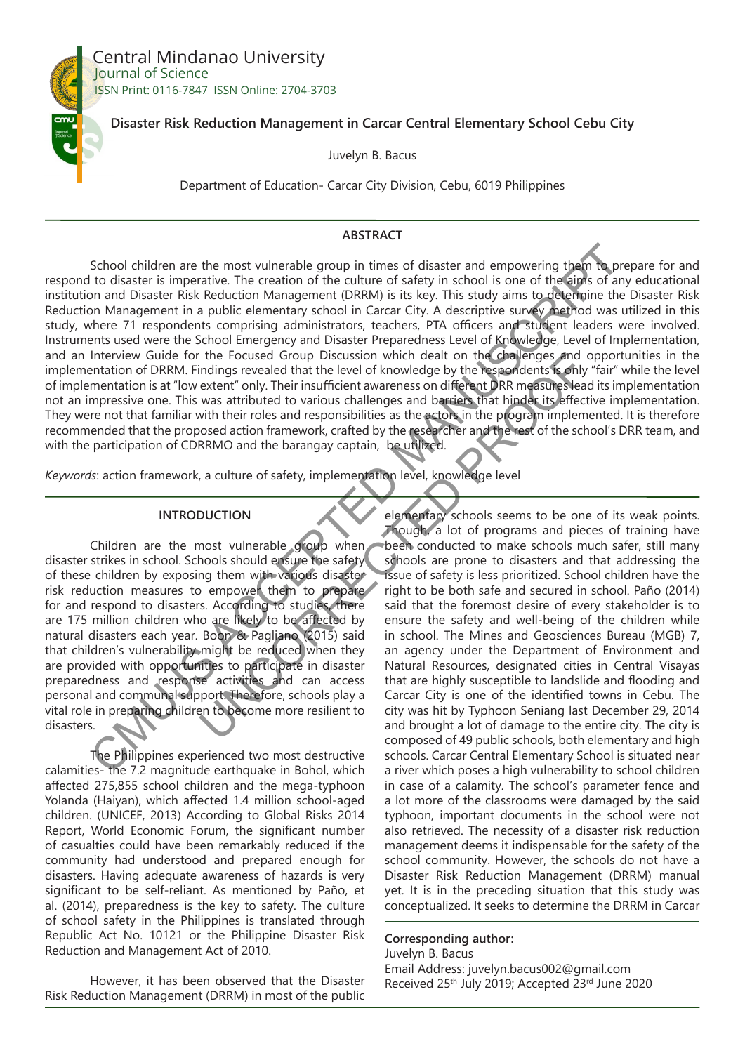

Central Mindanao University Journal of Science ISSN Print: 0116-7847 ISSN Online: 2704-3703

# **Disaster Risk Reduction Management in Carcar Central Elementary School Cebu City**

Juvelyn B. Bacus

Department of Education- Carcar City Division, Cebu, 6019 Philippines

#### **ABSTRACT**

School children are the most vulnerable group in times of disaster and empowering them to prepare for and respond to disaster is imperative. The creation of the culture of safety in school is one of the aims of any educational institution and Disaster Risk Reduction Management (DRRM) is its key. This study aims to determine the Disaster Risk Reduction Management in a public elementary school in Carcar City. A descriptive survey method was utilized in this study, where 71 respondents comprising administrators, teachers, PTA officers and student leaders were involved. Instruments used were the School Emergency and Disaster Preparedness Level of Knowledge, Level of Implementation, and an Interview Guide for the Focused Group Discussion which dealt on the challenges and opportunities in the implementation of DRRM. Findings revealed that the level of knowledge by the respondents is only "fair" while the level of implementation is at "low extent" only. Their insufficient awareness on different DRR measures lead its implementation not an impressive one. This was attributed to various challenges and barriers that hinder its effective implementation. They were not that familiar with their roles and responsibilities as the actors in the program implemented. It is therefore recommended that the proposed action framework, crafted by the researcher and the rest of the school's DRR team, and with the participation of CDRRMO and the barangay captain, be utilized. School children are the most vulnerable group in times of disaster and empowering them dones<br>to the cluster is imperative. The creation of the culture of safety in school is one of the signs of a signs in the control is t

*Keywords*: action framework, a culture of safety, implementation level, knowledge level

## **INTRODUCTION**

Children are the most vulnerable group when disaster strikes in school. Schools should ensure the safety of these children by exposing them with various disaster risk reduction measures to empower them to prepare for and respond to disasters. According to studies, there are 175 million children who are likely to be affected by natural disasters each year. Boon & Pagliano (2015) said that children's vulnerability might be reduced when they are provided with opportunities to participate in disaster preparedness and response activities and can access personal and communal support. Therefore, schools play a vital role in preparing children to become more resilient to disasters.

The Philippines experienced two most destructive calamities- the 7.2 magnitude earthquake in Bohol, which affected 275,855 school children and the mega-typhoon Yolanda (Haiyan), which affected 1.4 million school-aged children. (UNICEF, 2013) According to Global Risks 2014 Report, World Economic Forum, the significant number of casualties could have been remarkably reduced if the community had understood and prepared enough for disasters. Having adequate awareness of hazards is very significant to be self-reliant. As mentioned by Paño, et al. (2014), preparedness is the key to safety. The culture of school safety in the Philippines is translated through Republic Act No. 10121 or the Philippine Disaster Risk Reduction and Management Act of 2010.

However, it has been observed that the Disaster Risk Reduction Management (DRRM) in most of the public

elementary schools seems to be one of its weak points. Though, a lot of programs and pieces of training have been conducted to make schools much safer, still many schools are prone to disasters and that addressing the issue of safety is less prioritized. School children have the right to be both safe and secured in school. Paño (2014) said that the foremost desire of every stakeholder is to ensure the safety and well-being of the children while in school. The Mines and Geosciences Bureau (MGB) 7, an agency under the Department of Environment and Natural Resources, designated cities in Central Visayas that are highly susceptible to landslide and flooding and Carcar City is one of the identified towns in Cebu. The city was hit by Typhoon Seniang last December 29, 2014 and brought a lot of damage to the entire city. The city is composed of 49 public schools, both elementary and high schools. Carcar Central Elementary School is situated near a river which poses a high vulnerability to school children in case of a calamity. The school's parameter fence and a lot more of the classrooms were damaged by the said typhoon, important documents in the school were not also retrieved. The necessity of a disaster risk reduction management deems it indispensable for the safety of the school community. However, the schools do not have a Disaster Risk Reduction Management (DRRM) manual yet. It is in the preceding situation that this study was conceptualized. It seeks to determine the DRRM in Carcar The Focuse Group Discussion which deal on the Chaptenges and<br>
interaction the experience of Knowledge by the respectents schill<br>
extent "only. Their insufficient awareness on different DRR measures lea<br>
was attributed to v

## **Corresponding author:**

Juvelyn B. Bacus Email Address: juvelyn.bacus002@gmail.com Received 25<sup>th</sup> July 2019; Accepted 23<sup>rd</sup> June 2020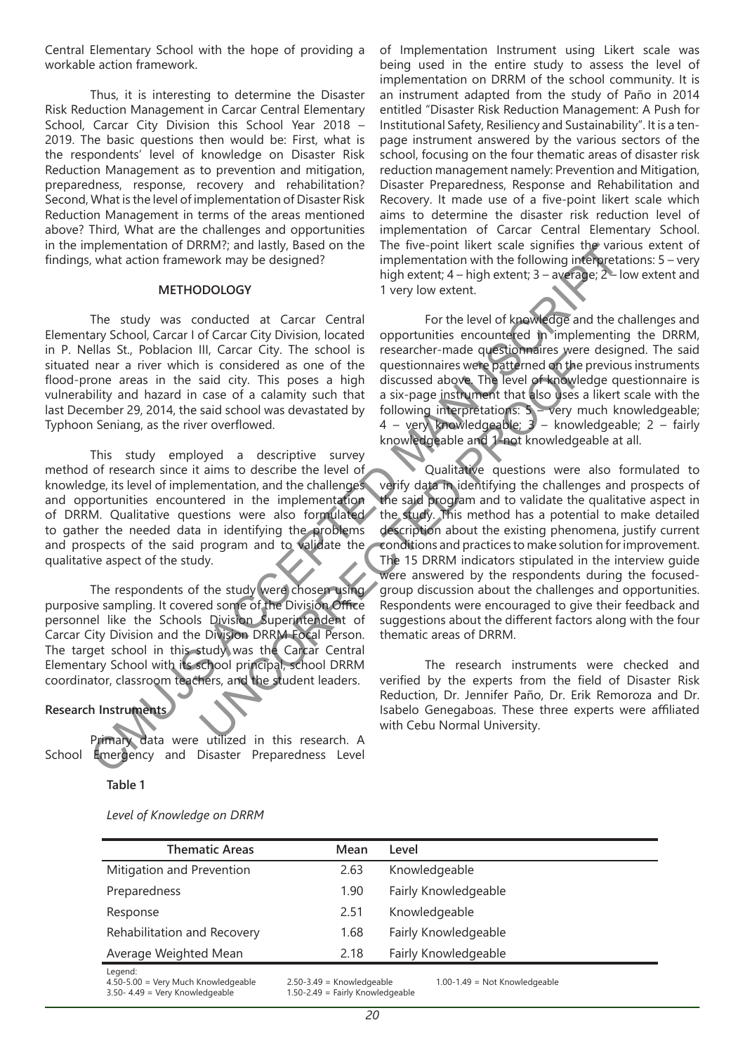Central Elementary School with the hope of providing a workable action framework.

Thus, it is interesting to determine the Disaster Risk Reduction Management in Carcar Central Elementary School, Carcar City Division this School Year 2018 – 2019. The basic questions then would be: First, what is the respondents' level of knowledge on Disaster Risk Reduction Management as to prevention and mitigation, preparedness, response, recovery and rehabilitation? Second, What is the level of implementation of Disaster Risk Reduction Management in terms of the areas mentioned above? Third, What are the challenges and opportunities in the implementation of DRRM?; and lastly, Based on the findings, what action framework may be designed?

#### **METHODOLOGY**

The study was conducted at Carcar Central Elementary School, Carcar I of Carcar City Division, located in P. Nellas St., Poblacion III, Carcar City. The school is situated near a river which is considered as one of the flood-prone areas in the said city. This poses a high vulnerability and hazard in case of a calamity such that last December 29, 2014, the said school was devastated by Typhoon Seniang, as the river overflowed.

This study employed a descriptive survey method of research since it aims to describe the level of knowledge, its level of implementation, and the challenges and opportunities encountered in the implementation of DRRM. Qualitative questions were also formulated to gather the needed data in identifying the problems and prospects of the said program and to validate the qualitative aspect of the study.

The respondents of the study were chosen using purposive sampling. It covered some of the Division Office personnel like the Schools Division Superintendent of Carcar City Division and the Division DRRM Focal Person. The target school in this study was the Carcar Central Elementary School with its school principal, school DRRM coordinator, classroom teachers, and the student leaders.

# **Research Instruments**

Primary data were utilized in this research. A School Emergency and Disaster Preparedness Level

**Table 1**

*Level of Knowledge on DRRM*

of Implementation Instrument using Likert scale was being used in the entire study to assess the level of implementation on DRRM of the school community. It is an instrument adapted from the study of Paño in 2014 entitled "Disaster Risk Reduction Management: A Push for Institutional Safety, Resiliency and Sustainability". It is a tenpage instrument answered by the various sectors of the school, focusing on the four thematic areas of disaster risk reduction management namely: Prevention and Mitigation, Disaster Preparedness, Response and Rehabilitation and Recovery. It made use of a five-point likert scale which aims to determine the disaster risk reduction level of implementation of Carcar Central Elementary School. The five-point likert scale signifies the various extent of implementation with the following interpretations: 5 – very high extent; 4 – high extent; 3 – average; 2 – low extent and 1 very low extent.

For the level of knowledge and the challenges and opportunities encountered in implementing the DRRM, researcher-made questionnaires were designed. The said questionnaires were patterned on the previous instruments discussed above. The level of knowledge questionnaire is a six-page instrument that also uses a likert scale with the following interpretations: 5 – very much knowledgeable; 4 – very knowledgeable; 3 – knowledgeable; 2 – fairly knowledgeable and 1-not knowledgeable at all.

Qualitative questions were also formulated to verify data in identifying the challenges and prospects of the said program and to validate the qualitative aspect in the study. This method has a potential to make detailed description about the existing phenomena, justify current conditions and practices to make solution for improvement. The 15 DRRM indicators stipulated in the interview guide were answered by the respondents during the focusedgroup discussion about the challenges and opportunities. Respondents were encouraged to give their feedback and suggestions about the different factors along with the four thematic areas of DRRM. mementation of UKNM/; and lasting its exact of the two point like scale of the study and the metric of the two points in the study was conducted at Carcar Central For the level of knowledge and the change  $2.5$  low was con in, cancely the studient wave the studient were parties and city. This posses a high discussed above. The level of knowled case of a calamity such that a six-page instrument that also uses as of a considered as one of the

The research instruments were checked and verified by the experts from the field of Disaster Risk Reduction, Dr. Jennifer Paño, Dr. Erik Remoroza and Dr. Isabelo Genegaboas. These three experts were affiliated with Cebu Normal University.

| <b>Thematic Areas</b>                                     | Mean                          | Level                             |
|-----------------------------------------------------------|-------------------------------|-----------------------------------|
| Mitigation and Prevention                                 | 2.63                          | Knowledgeable                     |
| Preparedness                                              | 1.90                          | Fairly Knowledgeable              |
| Response                                                  | 2.51                          | Knowledgeable                     |
| Rehabilitation and Recovery                               | 1.68                          | Fairly Knowledgeable              |
| Average Weighted Mean                                     | 2.18                          | Fairly Knowledgeable              |
| Legend:<br>$4.50 - 5.00 = \text{Very Much Knowledgeable}$ | $2.50 - 3.49$ = Knowledgeable | $1.00 - 1.49 =$ Not Knowledgeable |

3.50- 4.49 = Very Knowledgeable 1.50-2.49 = Fairly Knowledgeable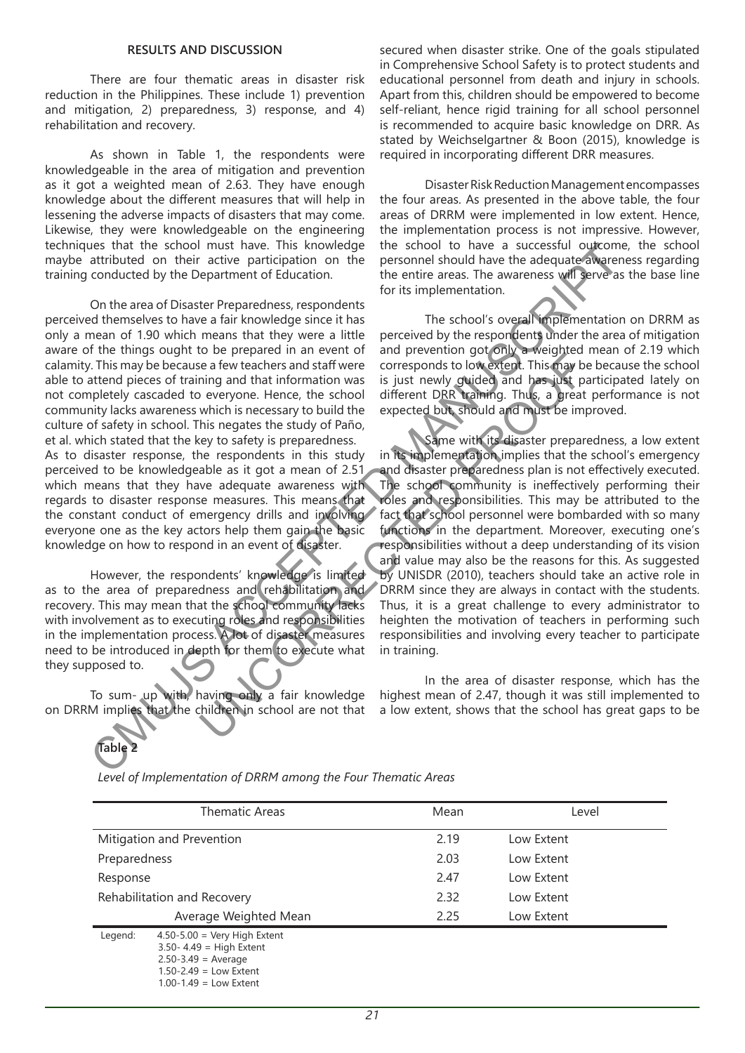#### **RESULTS AND DISCUSSION**

There are four thematic areas in disaster risk reduction in the Philippines. These include 1) prevention and mitigation, 2) preparedness, 3) response, and 4) rehabilitation and recovery.

As shown in Table 1, the respondents were knowledgeable in the area of mitigation and prevention as it got a weighted mean of 2.63. They have enough knowledge about the different measures that will help in lessening the adverse impacts of disasters that may come. Likewise, they were knowledgeable on the engineering techniques that the school must have. This knowledge maybe attributed on their active participation on the training conducted by the Department of Education.

On the area of Disaster Preparedness, respondents perceived themselves to have a fair knowledge since it has only a mean of 1.90 which means that they were a little aware of the things ought to be prepared in an event of calamity. This may be because a few teachers and staff were able to attend pieces of training and that information was not completely cascaded to everyone. Hence, the school community lacks awareness which is necessary to build the culture of safety in school. This negates the study of Paño, et al. which stated that the key to safety is preparedness. As to disaster response, the respondents in this study perceived to be knowledgeable as it got a mean of 2.51 which means that they have adequate awareness with regards to disaster response measures. This means that the constant conduct of emergency drills and involving everyone one as the key actors help them gain the basic knowledge on how to respond in an event of disaster. Se that the school may have described the school of have a successive of the set and the school may be a success to the entire area of Disaster Peparatento feducation.<br>
To the entire area of Disaster Peparatentos, respondi

However, the respondents' knowledge is limited as to the area of preparedness and rehabilitation and recovery. This may mean that the school community lacks with involvement as to executing roles and responsibilities in the implementation process. A lot of disaster measures need to be introduced in depth for them to execute what they supposed to.

To sum- up with, having only a fair knowledge on DRRM implies that the children in school are not that secured when disaster strike. One of the goals stipulated in Comprehensive School Safety is to protect students and educational personnel from death and injury in schools. Apart from this, children should be empowered to become self-reliant, hence rigid training for all school personnel is recommended to acquire basic knowledge on DRR. As stated by Weichselgartner & Boon (2015), knowledge is required in incorporating different DRR measures.

Disaster Risk Reduction Management encompasses the four areas. As presented in the above table, the four areas of DRRM were implemented in low extent. Hence, the implementation process is not impressive. However, the school to have a successful outcome, the school personnel should have the adequate awareness regarding the entire areas. The awareness will serve as the base line for its implementation.

The school's overall implementation on DRRM as perceived by the respondents under the area of mitigation and prevention got only a weighted mean of 2.19 which corresponds to low extent. This may be because the school is just newly guided and has just participated lately on different DRR training. Thus, a great performance is not expected but, should and must be improved.

Same with its disaster preparedness, a low extent in its implementation implies that the school's emergency and disaster preparedness plan is not effectively executed. The school community is ineffectively performing their roles and responsibilities. This may be attributed to the fact that school personnel were bombarded with so many functions in the department. Moreover, executing one's responsibilities without a deep understanding of its vision and value may also be the reasons for this. As suggested by UNISDR (2010), teachers should take an active role in DRRM since they are always in contact with the students. Thus, it is a great challenge to every administrator to heighten the motivation of teachers in performing such responsibilities and involving every teacher to participate in training. Contract of the school different of the area of the control of the area of the school different DRR training. Thus, a great the school different DRR training. Thus, a great who everyone. Hence, the school different DRR tr

In the area of disaster response, which has the highest mean of 2.47, though it was still implemented to a low extent, shows that the school has great gaps to be

**Table 2**

| <b>Thematic Areas</b>       |                                                                                                                                                               | Mean | Level      |  |
|-----------------------------|---------------------------------------------------------------------------------------------------------------------------------------------------------------|------|------------|--|
| Mitigation and Prevention   |                                                                                                                                                               | 2.19 | Low Extent |  |
| Preparedness                |                                                                                                                                                               | 2.03 | Low Extent |  |
| Response                    |                                                                                                                                                               | 2.47 | Low Extent |  |
| Rehabilitation and Recovery |                                                                                                                                                               | 2.32 | Low Extent |  |
|                             | Average Weighted Mean                                                                                                                                         | 2.25 | Low Extent |  |
| Legend:                     | $4.50 - 5.00 = \text{Very High Extend}$<br>$3.50 - 4.49 =$ High Extent<br>$2.50 - 3.49 = Average$<br>$1.50 - 2.49 =$ Low Extent<br>$1.00 - 1.49 =$ Low Extent |      |            |  |

*Level of Implementation of DRRM among the Four Thematic Areas*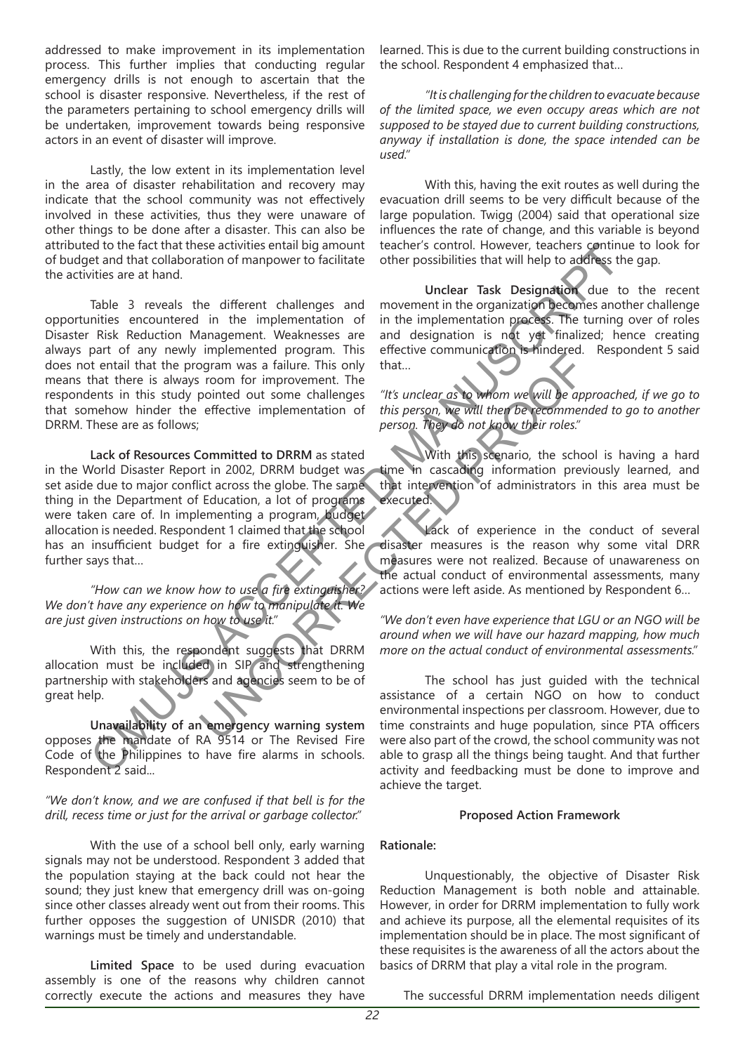addressed to make improvement in its implementation process. This further implies that conducting regular emergency drills is not enough to ascertain that the school is disaster responsive. Nevertheless, if the rest of the parameters pertaining to school emergency drills will be undertaken, improvement towards being responsive actors in an event of disaster will improve.

Lastly, the low extent in its implementation level in the area of disaster rehabilitation and recovery may indicate that the school community was not effectively involved in these activities, thus they were unaware of other things to be done after a disaster. This can also be attributed to the fact that these activities entail big amount of budget and that collaboration of manpower to facilitate the activities are at hand.

Table 3 reveals the different challenges and opportunities encountered in the implementation of Disaster Risk Reduction Management. Weaknesses are always part of any newly implemented program. This does not entail that the program was a failure. This only means that there is always room for improvement. The respondents in this study pointed out some challenges that somehow hinder the effective implementation of DRRM. These are as follows; ed to the actual three activities entire to the search in the proportion in the control interact in the conduction of the actual conductive and that collaboration of manpower to facilitate other possibilities that will hel

**Lack of Resources Committed to DRRM** as stated in the World Disaster Report in 2002, DRRM budget was set aside due to major conflict across the globe. The same thing in the Department of Education, a lot of programs were taken care of. In implementing a program, budget allocation is needed. Respondent 1 claimed that the school has an insufficient budget for a fire extinguisher. She further says that… mynchinesed program was a failure. This only that...<br>
In pointed out some challenges "It's unclear as to whom we will be appear was a failure. This only that...<br>
In commete our form the effective implementation of this per

*"How can we know how to use a fire extinguisher? We don't have any experience on how to manipulate it. We are just given instructions on how to use it."*

With this, the respondent suggests that DRRM allocation must be included in SIP and strengthening partnership with stakeholders and agencies seem to be of great help.

**Unavailability of an emergency warning system** opposes the mandate of RA 9514 or The Revised Fire Code of the Philippines to have fire alarms in schools. Respondent 2 said...

*"We don't know, and we are confused if that bell is for the drill, recess time or just for the arrival or garbage collector."*

With the use of a school bell only, early warning signals may not be understood. Respondent 3 added that the population staying at the back could not hear the sound; they just knew that emergency drill was on-going since other classes already went out from their rooms. This further opposes the suggestion of UNISDR (2010) that warnings must be timely and understandable.

**Limited Space** to be used during evacuation assembly is one of the reasons why children cannot correctly execute the actions and measures they have

learned. This is due to the current building constructions in the school. Respondent 4 emphasized that...

*"It is challenging for the children to evacuate because of the limited space, we even occupy areas which are not supposed to be stayed due to current building constructions, anyway if installation is done, the space intended can be used."*

With this, having the exit routes as well during the evacuation drill seems to be very difficult because of the large population. Twigg (2004) said that operational size influences the rate of change, and this variable is beyond teacher's control. However, teachers continue to look for other possibilities that will help to address the gap.

**Unclear Task Designation** due to the recent movement in the organization becomes another challenge in the implementation process. The turning over of roles and designation is not yet finalized; hence creating effective communication is hindered. Respondent 5 said that…

*"It's unclear as to whom we will be approached, if we go to this person, we will then be recommended to go to another person. They do not know their roles."*

With this scenario, the school is having a hard time in cascading information previously learned, and that intervention of administrators in this area must be executed.

Lack of experience in the conduct of several disaster measures is the reason why some vital DRR measures were not realized. Because of unawareness on the actual conduct of environmental assessments, many actions were left aside. As mentioned by Respondent 6…

*"We don't even have experience that LGU or an NGO will be around when we will have our hazard mapping, how much more on the actual conduct of environmental assessments."*

The school has just guided with the technical assistance of a certain NGO on how to conduct environmental inspections per classroom. However, due to time constraints and huge population, since PTA officers were also part of the crowd, the school community was not able to grasp all the things being taught. And that further activity and feedbacking must be done to improve and achieve the target.

# **Proposed Action Framework**

#### **Rationale:**

Unquestionably, the objective of Disaster Risk Reduction Management is both noble and attainable. However, in order for DRRM implementation to fully work and achieve its purpose, all the elemental requisites of its implementation should be in place. The most significant of these requisites is the awareness of all the actors about the basics of DRRM that play a vital role in the program.

The successful DRRM implementation needs diligent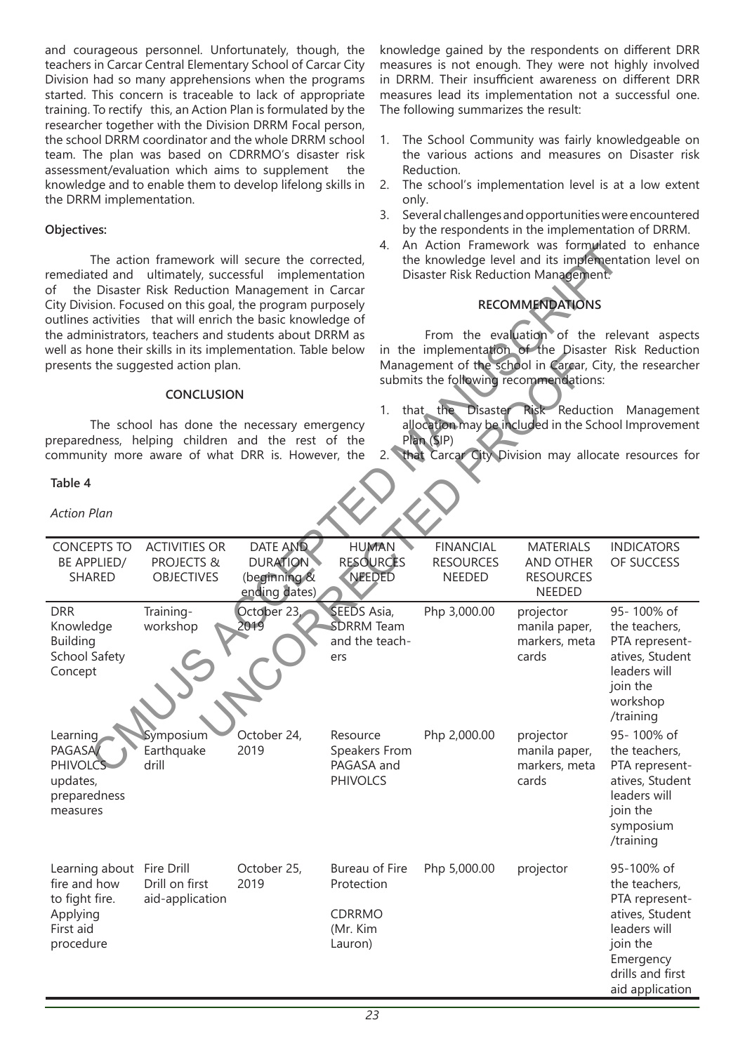and courageous personnel. Unfortunately, though, the teachers in Carcar Central Elementary School of Carcar City Division had so many apprehensions when the programs started. This concern is traceable to lack of appropriate training. To rectify this, an Action Plan is formulated by the researcher together with the Division DRRM Focal person, the school DRRM coordinator and the whole DRRM school team. The plan was based on CDRRMO's disaster risk assessment/evaluation which aims to supplement the knowledge and to enable them to develop lifelong skills in the DRRM implementation.

# **Objectives:**

## **CONCLUSION**

## **Table 4**

knowledge gained by the respondents on different DRR measures is not enough. They were not highly involved in DRRM. Their insufficient awareness on different DRR measures lead its implementation not a successful one. The following summarizes the result:

- 1. The School Community was fairly knowledgeable on the various actions and measures on Disaster risk Reduction.
- 2. The school's implementation level is at a low extent only.
- 3. Several challenges and opportunities were encountered by the respondents in the implementation of DRRM.
- 4. An Action Framework was formulated to enhance the knowledge level and its implementation level on Disaster Risk Reduction Management.

# **RECOMMENDATIONS**

- 1. that the Disaster Risk Reduction Management allocation may be included in the School Improvement Plan (SIP)
- 2. that Carcar City Division may allocate resources for

| remediated and ultimately, successful implementation<br>of the Disaster Risk Reduction Management in Carcar<br>City Division. Focused on this goal, the program purposely<br>outlines activities that will enrich the basic knowledge of<br>the administrators, teachers and students about DRRM as<br>well as hone their skills in its implementation. Table below<br>presents the suggested action plan. | The action framework will secure the corrected,                    |                                                              | 4.                                                                   | An Action Framework was formulated to enhance<br>the knowledge level and its implementation level on<br>Disaster Risk Reduction Management.<br><b>RECOMMENDATIONS</b><br>From the evaluation of the relevant aspects<br>in the implementation of the Disaster Risk Reduction<br>Management of the school in Carcar, City, the researcher<br>submits the following recommendations: |                                                                           |                                                                                                                                                  |  |
|------------------------------------------------------------------------------------------------------------------------------------------------------------------------------------------------------------------------------------------------------------------------------------------------------------------------------------------------------------------------------------------------------------|--------------------------------------------------------------------|--------------------------------------------------------------|----------------------------------------------------------------------|------------------------------------------------------------------------------------------------------------------------------------------------------------------------------------------------------------------------------------------------------------------------------------------------------------------------------------------------------------------------------------|---------------------------------------------------------------------------|--------------------------------------------------------------------------------------------------------------------------------------------------|--|
| <b>CONCLUSION</b>                                                                                                                                                                                                                                                                                                                                                                                          |                                                                    |                                                              |                                                                      | that the<br>Disaster Risk Reduction Management<br>1.                                                                                                                                                                                                                                                                                                                               |                                                                           |                                                                                                                                                  |  |
| preparedness, helping children and the rest of the<br>community more aware of what DRR is. However, the                                                                                                                                                                                                                                                                                                    | The school has done the necessary emergency                        |                                                              | 2.7                                                                  | Plan (SIP)                                                                                                                                                                                                                                                                                                                                                                         |                                                                           | allocation may be included in the School Improvement<br>that Carcar City Division may allocate resources for                                     |  |
| Table 4                                                                                                                                                                                                                                                                                                                                                                                                    |                                                                    |                                                              |                                                                      |                                                                                                                                                                                                                                                                                                                                                                                    |                                                                           |                                                                                                                                                  |  |
| <b>Action Plan</b>                                                                                                                                                                                                                                                                                                                                                                                         |                                                                    |                                                              |                                                                      |                                                                                                                                                                                                                                                                                                                                                                                    |                                                                           |                                                                                                                                                  |  |
| <b>CONCEPTS TO</b><br>BE APPLIED/<br>SHARED                                                                                                                                                                                                                                                                                                                                                                | <b>ACTIVITIES OR</b><br><b>PROJECTS &amp;</b><br><b>OBJECTIVES</b> | DATE AND<br><b>DURATION</b><br>(beginning &<br>ending dates) | <b>HUMAN</b><br><b>RESOURCES</b><br>NEEDED                           | <b>FINANCIAL</b><br><b>RESOURCES</b><br><b>NEEDED</b>                                                                                                                                                                                                                                                                                                                              | <b>MATERIALS</b><br><b>AND OTHER</b><br><b>RESOURCES</b><br><b>NEEDED</b> | <b>INDICATORS</b><br>OF SUCCESS                                                                                                                  |  |
| <b>DRR</b><br>Knowledge<br><b>Building</b><br>School Safety<br>Concept                                                                                                                                                                                                                                                                                                                                     | Training-<br>workshop                                              | October 23,<br>2019                                          | SEEDS Asia,<br><b>SDRRM</b> Team<br>and the teach-<br>ers            | Php 3,000.00                                                                                                                                                                                                                                                                                                                                                                       | projector<br>manila paper,<br>markers, meta<br>cards                      | 95-100% of<br>the teachers,<br>PTA represent-<br>atives, Student<br>leaders will<br>join the<br>workshop<br>/training                            |  |
| Learning<br>PAGASA/<br><b>PHIVOLCS</b><br>updates,<br>preparedness<br>measures                                                                                                                                                                                                                                                                                                                             | Symposium<br>Earthquake<br>drill                                   | October 24,<br>2019                                          | Resource<br>Speakers From<br>PAGASA and<br><b>PHIVOLCS</b>           | Php 2,000.00                                                                                                                                                                                                                                                                                                                                                                       | projector<br>manila paper,<br>markers, meta<br>cards                      | 95-100% of<br>the teachers,<br>PTA represent-<br>atives, Student<br>leaders will<br>join the<br>symposium<br>/training                           |  |
| Learning about Fire Drill<br>fire and how<br>to fight fire.<br>Applying<br>First aid<br>procedure                                                                                                                                                                                                                                                                                                          | Drill on first<br>aid-application                                  | October 25,<br>2019                                          | Bureau of Fire<br>Protection<br><b>CDRRMO</b><br>(Mr. Kim<br>Lauron) | Php 5,000.00                                                                                                                                                                                                                                                                                                                                                                       | projector                                                                 | 95-100% of<br>the teachers,<br>PTA represent-<br>atives, Student<br>leaders will<br>join the<br>Emergency<br>drills and first<br>aid application |  |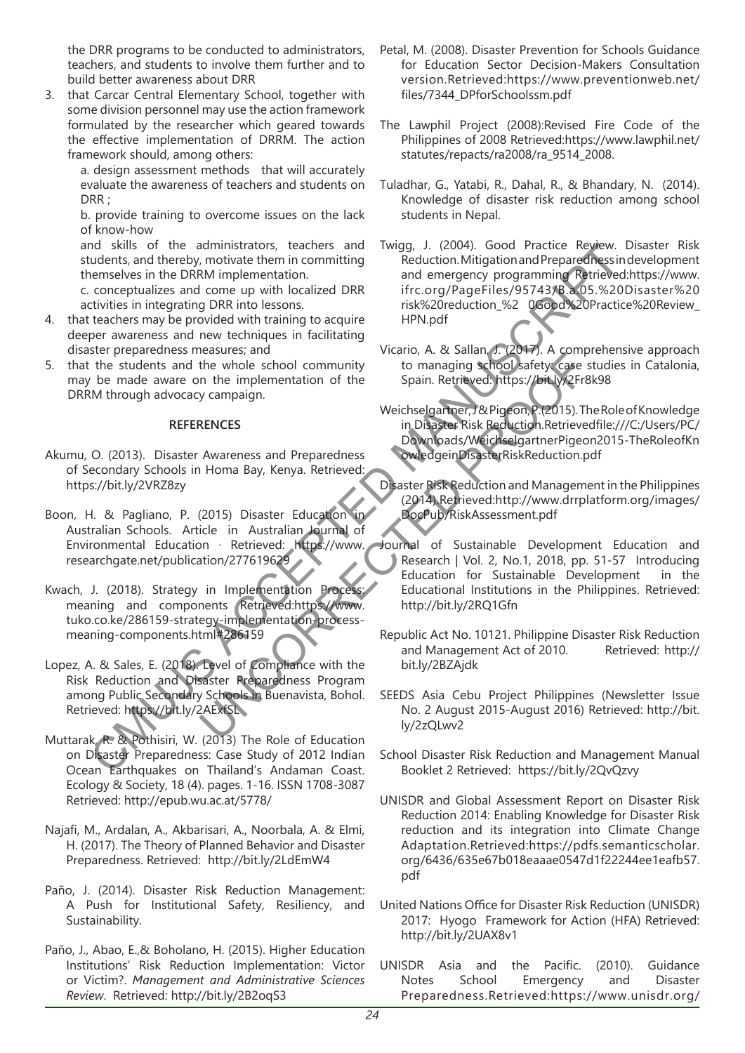the DRR programs to be conducted to administrators, teachers, and students to involve them further and to build better awareness about DRR

3. that Carcar Central Elementary School, together with some division personnel may use the action framework formulated by the researcher which geared towards the effective implementation of DRRM. The action framework should, among others:

a. design assessment methods that will accurately evaluate the awareness of teachers and students on DRR :

b. provide training to overcome issues on the lack of know-how

and skills of the administrators, teachers and students, and thereby, motivate them in committing themselves in the DRRM implementation.

c. conceptualizes and come up with localized DRR activities in integrating DRR into lessons.

- 4. that teachers may be provided with training to acquire deeper awareness and new techniques in facilitating disaster preparedness measures; and
- 5. that the students and the whole school community may be made aware on the implementation of the DRRM through advocacy campaign.

# **REFERENCES**

- Akumu, O. (2013). Disaster Awareness and Preparedness of Secondary Schools in Homa Bay, Kenya. Retrieved: https://bit.ly/2VRZ8zy
- Boon, H. & Pagliano, P. (2015) Disaster Education Australian Schools. Article in Australian Journal of Environmental Education · Retrieved: https://www. researchgate.net/publication/277619629
- Kwach, J. (2018). Strategy in Implementation Process: meaning and components Retrieved:https://www. tuko.co.ke/286159-strategy-implementation-processmeaning-components.html#286159

Lopez, A. & Sales, E. (2018). Level of Compliance with the Risk Reduction and Disaster Preparedness Program among Public Secondary Schools in Buenavista, Bohol. Retrieved: https://bit.ly/2AExfSL

- Muttarak, R. & Pothisiri, W. (2013) The Role of Education on Disaster Preparedness: Case Study of 2012 Indian Ocean Earthquakes on Thailand's Andaman Coast. Ecology & Society, 18 (4). pages. 1-16. ISSN 1708-3087 Retrieved: http://epub.wu.ac.at/5778/
- Najafi, M., Ardalan, A., Akbarisari, A., Noorbala, A. & Elmi, H. (2017). The Theory of Planned Behavior and Disaster Preparedness. Retrieved: http://bit.ly/2LdEmW4
- Paño, J. (2014). Disaster Risk Reduction Management: A Push for Institutional Safety, Resiliency, and Sustainability.
- Paño, J., Abao, E.,& Boholano, H. (2015). Higher Education Institutions' Risk Reduction Implementation: Victor or Victim?. *Management and Administrative Sciences Review*. Retrieved: http://bit.ly/2B2oqS3
- Petal, M. (2008). Disaster Prevention for Schools Guidance for Education Sector Decision-Makers Consultation version.Retrieved:https://www.preventionweb.net/ files/7344\_DPforSchoolssm.pdf
- The Lawphil Project (2008):Revised Fire Code of the Philippines of 2008 Retrieved:https://www.lawphil.net/ statutes/repacts/ra2008/ra\_9514\_2008.
- Tuladhar, G., Yatabi, R., Dahal, R., & Bhandary, N. (2014). Knowledge of disaster risk reduction among school students in Nepal.
- Twigg, J. (2004). Good Practice Review. Disaster Risk Reduction. Mitigation and Preparedness in development and emergency programming Retrieved:https://www. ifrc.org/PageFiles/95743/B.a.05.%20Disaster%20 risk%20reduction\_%2 0Good%20Practice%20Review\_ HPN.pdf nd skills of the administrators, teaters and frequenties and the payar in the DRM implementation in the DRM implementation and energety programming Theoret Reserves in the DRM implementation of the teaters in the DRM imple
	- Vicario, A. & Sallan, J. (2017). A comprehensive approach to managing school safety: case studies in Catalonia, Spain. Retrieved: https://bit.ly/2Fr8k98
	- Weichselgartner, J & Pigeon, P.(2015). The Role of Knowledge in Disaster Risk Reduction.Retrievedfile:///C:/Users/PC/ Downloads/WeichselgartnerPigeon2015-TheRoleofKn owledgeinDisasterRiskReduction.pdf
	- Disaster Risk Reduction and Management in the Philippines (2014).Retrieved:http://www.drrplatform.org/images/ DocPub/RiskAssessment.pdf
	- Journal of Sustainable Development Education and Research | Vol. 2, No.1, 2018, pp. 51-57 Introducing Education for Sustainable Development in the Educational Institutions in the Philippines. Retrieved: http://bit.ly/2RQ1Gfn Example The Retrieved: Harpe, The Bole of Education States Research Project Philippine<br>
	2013). The Red Community Commanding School Safety Case<br>
	19 General Preparedness<br>
	Weichselgartner, Z& Pigeon, P. (2015). The Waveness a
		- Republic Act No. 10121. Philippine Disaster Risk Reduction and Management Act of 2010. Retrieved: http:// bit.ly/2BZAjdk
		- SEEDS Asia Cebu Project Philippines (Newsletter Issue No. 2 August 2015-August 2016) Retrieved: http://bit. ly/2zQLwv2
		- School Disaster Risk Reduction and Management Manual Booklet 2 Retrieved: https://bit.ly/2QvQzvy
		- UNISDR and Global Assessment Report on Disaster Risk Reduction 2014: Enabling Knowledge for Disaster Risk reduction and its integration into Climate Change Adaptation.Retrieved:https://pdfs.semanticscholar. org/6436/635e67b018eaaae0547d1f22244ee1eafb57. pdf
		- United Nations Office for Disaster Risk Reduction (UNISDR) 2017: Hyogo Framework for Action (HFA) Retrieved: http://bit.ly/2UAX8v1
		- UNISDR Asia and the Pacific. (2010). Guidance Notes School Emergency and Disaster Preparedness.Retrieved:https://www.unisdr.org/